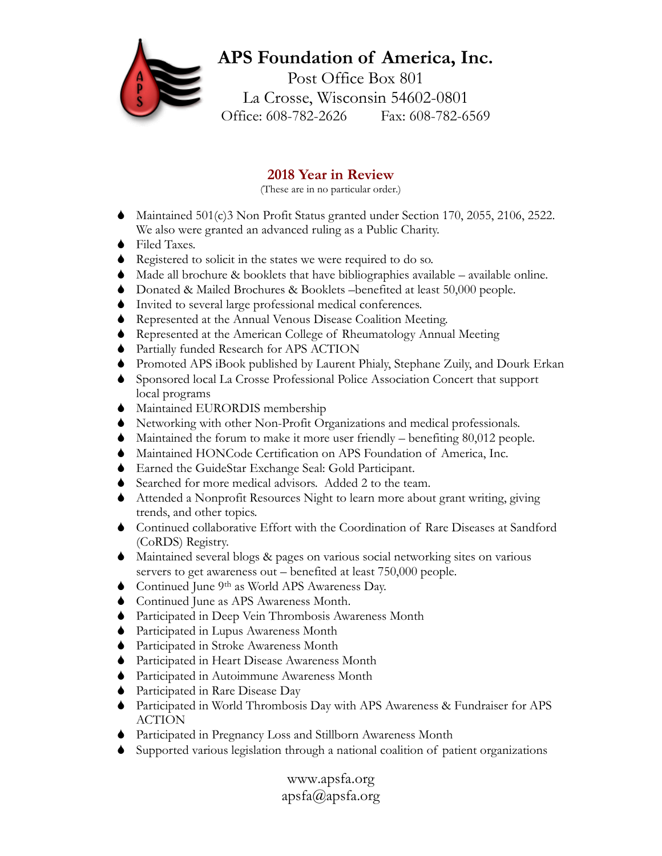## **APS Foundation of America, Inc.**

Post Office Box 801 La Crosse, Wisconsin 54602-0801 Office: 608-782-2626 Fax: 608-782-6569

## **2018 Year in Review**

(These are in no particular order.)

- Maintained 501(c)3 Non Profit Status granted under Section 170, 2055, 2106, 2522. We also were granted an advanced ruling as a Public Charity.
- ◆ Filed Taxes.
- Registered to solicit in the states we were required to do so.
- $\blacklozenge$  Made all brochure & booklets that have bibliographies available available online.
- Donated & Mailed Brochures & Booklets –benefited at least 50,000 people.
- Invited to several large professional medical conferences.
- Represented at the Annual Venous Disease Coalition Meeting.
- Represented at the American College of Rheumatology Annual Meeting
- Partially funded Research for APS ACTION
- Promoted APS iBook published by Laurent Phialy, Stephane Zuily, and Dourk Erkan
- Sponsored local La Crosse Professional Police Association Concert that support local programs
- $\blacklozenge$  Maintained EURORDIS membership
- Networking with other Non-Profit Organizations and medical professionals.
- Maintained the forum to make it more user friendly benefiting 80,012 people.
- Maintained HONCode Certification on APS Foundation of America, Inc.
- Earned the GuideStar Exchange Seal: Gold Participant.
- Searched for more medical advisors. Added 2 to the team.
- Attended a Nonprofit Resources Night to learn more about grant writing, giving trends, and other topics.
- Continued collaborative Effort with the Coordination of Rare Diseases at Sandford (CoRDS) Registry.
- Maintained several blogs & pages on various social networking sites on various servers to get awareness out – benefited at least 750,000 people.
- Continued June 9th as World APS Awareness Day.
- Continued June as APS Awareness Month.
- Participated in Deep Vein Thrombosis Awareness Month
- Participated in Lupus Awareness Month
- Participated in Stroke Awareness Month
- Participated in Heart Disease Awareness Month
- Participated in Autoimmune Awareness Month
- Participated in Rare Disease Day
- Participated in World Thrombosis Day with APS Awareness & Fundraiser for APS ACTION
- Participated in Pregnancy Loss and Stillborn Awareness Month
- Supported various legislation through a national coalition of patient organizations

www.apsfa.org apsfa@apsfa.org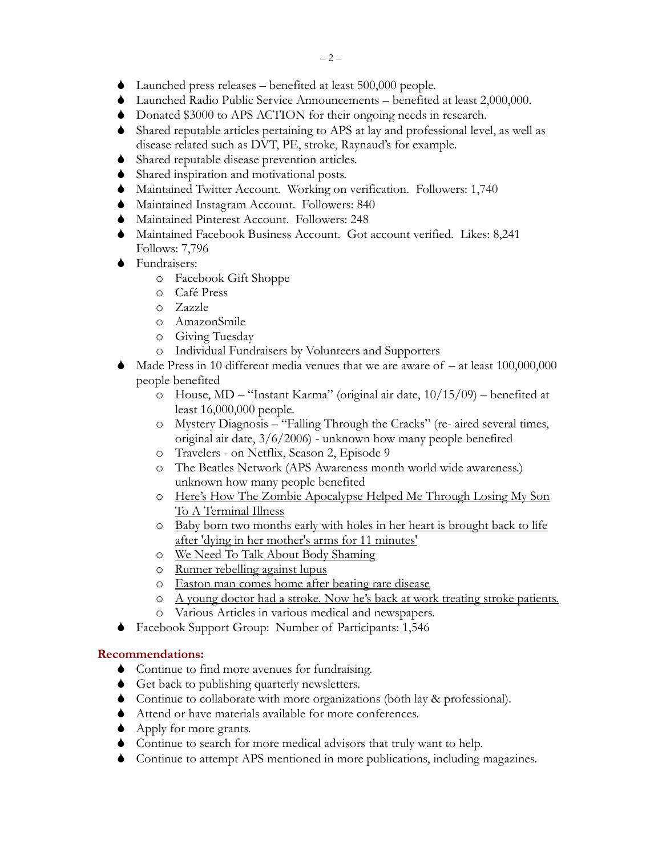- Launched press releases benefited at least 500,000 people.
- Launched Radio Public Service Announcements benefited at least 2,000,000.
- Donated \$3000 to APS ACTION for their ongoing needs in research.
- Shared reputable articles pertaining to APS at lay and professional level, as well as disease related such as DVT, PE, stroke, Raynaud's for example.
- Shared reputable disease prevention articles.
- Shared inspiration and motivational posts.
- Maintained Twitter Account. Working on verification. Followers: 1,740
- Maintained Instagram Account. Followers: 840
- Maintained Pinterest Account. Followers: 248
- Maintained Facebook Business Account. Got account verified. Likes: 8,241 Follows: 7,796
- **◆** Fundraisers:
	- o Facebook Gift Shoppe
	- o Café Press
	- o Zazzle
	- o AmazonSmile
	- o Giving Tuesday
	- o Individual Fundraisers by Volunteers and Supporters
- Made Press in 10 different media venues that we are aware of at least 100,000,000 people benefited
	- o House, MD "Instant Karma" (original air date, 10/15/09) benefited at least 16,000,000 people.
	- o Mystery Diagnosis "Falling Through the Cracks" (re- aired several times, original air date, 3/6/2006) - unknown how many people benefited
	- o Travelers on Netflix, Season 2, Episode 9
	- o The Beatles Network (APS Awareness month world wide awareness.) unknown how many people benefited
	- o [Here's How The Zombie Apocalypse Helped Me Through Losing My Son](https://www.huffingtonpost.com/entry/the-walking-dead-family-relationships_us_5c38ac17e4b0c469d76d7f0c?fbclid=IwAR3_kA77GvC7Vm_bnvHvWU-BnujVLEVuhqnzfTnC_uZYMq4Fk5pbbO9VgW8)  [To A Terminal Illness](https://www.huffingtonpost.com/entry/the-walking-dead-family-relationships_us_5c38ac17e4b0c469d76d7f0c?fbclid=IwAR3_kA77GvC7Vm_bnvHvWU-BnujVLEVuhqnzfTnC_uZYMq4Fk5pbbO9VgW8)
	- o [Baby born two months early with holes in her heart is brought back to life](https://www.dailymail.co.uk/health/article-6393289/Mothers-three-week-old-baby-died-arms.html?fbclid=IwAR3Kk-QBAs34SSF3lqfNB4GahjdXKxiwqb6CBUljkdeAGkd8oH2jXTU6QSA)  [after 'dying in her mother's arms for 11 minutes'](https://www.dailymail.co.uk/health/article-6393289/Mothers-three-week-old-baby-died-arms.html?fbclid=IwAR3Kk-QBAs34SSF3lqfNB4GahjdXKxiwqb6CBUljkdeAGkd8oH2jXTU6QSA)
	- o [We Need To Talk About Body Shaming](https://www.marieclaire.com.au/robyn-lawley-body-shaming?category=career&fbclid=IwAR0bGyE6W_-_44Qf6Nv00VgnRqhonC0xjjlyA-p4rOX5ILq85_PSgWBCkJo)
	- o [Runner rebelling against lupus](http://www.journalgazette.net/sports/rec/20181028/runner-rebelling-against-lupus?fbclid=IwAR1pKNwXoqRDfDRGxCxc0IucH5L-F39r3_HHzul6_u_56ILK5JksZx6F8Mo)
	- o [Easton man comes home after beating rare disease](http://www.wfmz.com/news/lehigh-valley/easton-man-comes-home-after-beating-rare-disease/820796168?fbclid=IwAR2lAR0VqiaPF8ckhgbOcP3kbVXNaVQAzDsO31PHhJn-j8QEBvzLEGlr_PA)
	- o [A young doctor had a stroke. Now he's back at work treating stroke patients.](http://www.philly.com/philly/health/young-doctor-stroke-now-hes-back-at-work-treating-stroke-patients-jefferson-20181015.html?fbclid=IwAR3pbpvlQEsDmUhz7Fkh1dvMaxNSJnDurugHOqJoiOKRs5OOl58ijMXQh30)
	- o Various Articles in various medical and newspapers.
- Facebook Support Group: Number of Participants: 1,546

## **Recommendations:**

- Continue to find more avenues for fundraising.
- Get back to publishing quarterly newsletters.
- Continue to collaborate with more organizations (both lay & professional).
- Attend or have materials available for more conferences.
- ◆ Apply for more grants.
- Continue to search for more medical advisors that truly want to help.
- Continue to attempt APS mentioned in more publications, including magazines.